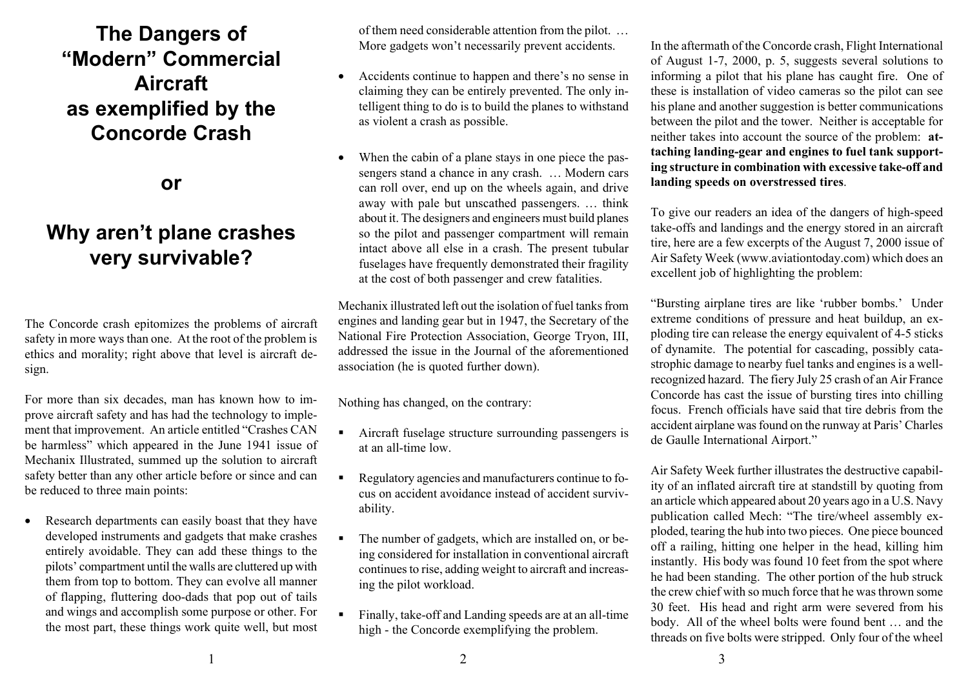## **The Dangers of "Modern" Commercial Aircraft as exemplified by the Concorde Crash**

**or**

## **Why aren't plane crashes very survivable?**

The Concorde crash epitomizes the problems of aircraft safety in more ways than one. At the root of the problem is ethics and morality; right above that level is aircraft design.

For more than six decades, man has known how to improve aircraft safety and has had the technology to implement that improvement. An article entitled "Crashes CAN be harmless" which appeared in the June 1941 issue of Mechanix Illustrated, summed up the solution to aircraft safety better than any other article before or since and can be reduced to three main points:

Research departments can easily boast that they have developed instruments and gadgets that make crashes entirely avoidable. They can add these things to the pilots' compartment until the walls are cluttered up with them from top to bottom. They can evolve all manner of flapping, fluttering doo-dads that pop out of tails and wings and accomplish some purpose or other. For the most part, these things work quite well, but most of them need considerable attention from the pilot. … More gadgets won't necessarily prevent accidents.

- Accidents continue to happen and there's no sense in claiming they can be entirely prevented. The only intelligent thing to do is to build the planes to withstand as violent a crash as possible.
- When the cabin of a plane stays in one piece the passengers stand a chance in any crash. … Modern cars can roll over, end up on the wheels again, and drive away with pale but unscathed passengers. … think about it. The designers and engineers must build planes so the pilot and passenger compartment will remain intact above all else in a crash. The present tubular fuselages have frequently demonstrated their fragility at the cost of both passenger and crew fatalities.

Mechanix illustrated left out the isolation of fuel tanks from engines and landing gear but in 1947, the Secretary of the National Fire Protection Association, George Tryon, III, addressed the issue in the Journal of the aforementioned association (he is quoted further down).

Nothing has changed, on the contrary:

- ! Aircraft fuselage structure surrounding passengers is at an all-time low.
- Regulatory agencies and manufacturers continue to focus on accident avoidance instead of accident survivability.
- ! The number of gadgets, which are installed on, or being considered for installation in conventional aircraft continues to rise, adding weight to aircraft and increasing the pilot workload.
- ! Finally, take-off and Landing speeds are at an all-time high - the Concorde exemplifying the problem.

In the aftermath of the Concorde crash, Flight International of August 1-7, 2000, p. 5, suggests several solutions to informing a pilot that his plane has caught fire. One of these is installation of video cameras so the pilot can see his plane and another suggestion is better communications between the pilot and the tower. Neither is acceptable for neither takes into account the source of the problem: **attaching landing-gear and engines to fuel tank supporting structure in combination with excessive take-off and landing speeds on overstressed tires**.

To give our readers an idea of the dangers of high-speed take-offs and landings and the energy stored in an aircraft tire, here are a few excerpts of the August 7, 2000 issue of Air Safety Week (www.aviationtoday.com) which does an excellent job of highlighting the problem:

"Bursting airplane tires are like 'rubber bombs.' Under extreme conditions of pressure and heat buildup, an exploding tire can release the energy equivalent of 4-5 sticks of dynamite. The potential for cascading, possibly catastrophic damage to nearby fuel tanks and engines is a wellrecognized hazard. The fiery July 25 crash of an Air France Concorde has cast the issue of bursting tires into chilling focus. French officials have said that tire debris from the accident airplane was found on the runway at Paris' Charles de Gaulle International Airport."

Air Safety Week further illustrates the destructive capability of an inflated aircraft tire at standstill by quoting from an article which appeared about 20 years ago in a U.S. Navy publication called Mech: "The tire/wheel assembly exploded, tearing the hub into two pieces. One piece bounced off a railing, hitting one helper in the head, killing him instantly. His body was found 10 feet from the spot where he had been standing. The other portion of the hub struck the crew chief with so much force that he was thrown some 30 feet. His head and right arm were severed from his body. All of the wheel bolts were found bent … and the threads on five bolts were stripped. Only four of the wheel

 $1$  and  $2$  3